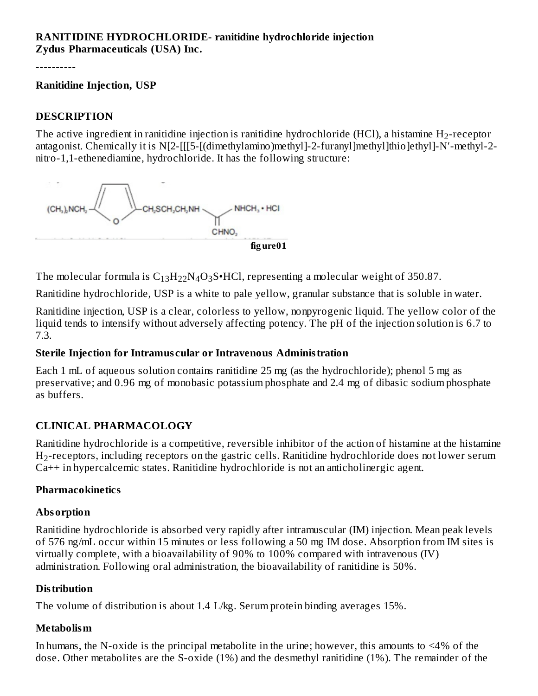#### **RANITIDINE HYDROCHLORIDE- ranitidine hydrochloride injection Zydus Pharmaceuticals (USA) Inc.**

----------

#### **Ranitidine Injection, USP**

#### **DESCRIPTION**

The active ingredient in ranitidine injection is ranitidine hydrochloride (HCl), a histamine  $\rm H_{2}$ -receptor antagonist. Chemically it is N[2-[[[5-[(dimethylamino)methyl]-2-furanyl]methyl]thio]ethyl]-N′-methyl-2 nitro-1,1-ethenediamine, hydrochloride. It has the following structure:



The molecular formula is  $\rm{C_{13}H_{22}N_4O_3S^{\bullet}HCl}$ , representing a molecular weight of 350.87.

Ranitidine hydrochloride, USP is a white to pale yellow, granular substance that is soluble in water.

Ranitidine injection, USP is a clear, colorless to yellow, nonpyrogenic liquid. The yellow color of the liquid tends to intensify without adversely affecting potency. The pH of the injection solution is 6.7 to 7.3.

#### **Sterile Injection for Intramus cular or Intravenous Administration**

Each 1 mL of aqueous solution contains ranitidine 25 mg (as the hydrochloride); phenol 5 mg as preservative; and 0.96 mg of monobasic potassium phosphate and 2.4 mg of dibasic sodium phosphate as buffers.

#### **CLINICAL PHARMACOLOGY**

Ranitidine hydrochloride is a competitive, reversible inhibitor of the action of histamine at the histamine  $\rm H_2$ -receptors, including receptors on the gastric cells. Ranitidine hydrochloride does not lower serum Ca++ in hypercalcemic states. Ranitidine hydrochloride is not an anticholinergic agent.

#### **Pharmacokinetics**

#### **Absorption**

Ranitidine hydrochloride is absorbed very rapidly after intramuscular (IM) injection. Mean peak levels of 576 ng/mL occur within 15 minutes or less following a 50 mg IM dose. Absorption from IM sites is virtually complete, with a bioavailability of 90% to 100% compared with intravenous (IV) administration. Following oral administration, the bioavailability of ranitidine is 50%.

#### **Distribution**

The volume of distribution is about 1.4 L/kg. Serum protein binding averages 15%.

#### **Metabolism**

In humans, the N-oxide is the principal metabolite in the urine; however, this amounts to <4% of the dose. Other metabolites are the S-oxide (1%) and the desmethyl ranitidine (1%). The remainder of the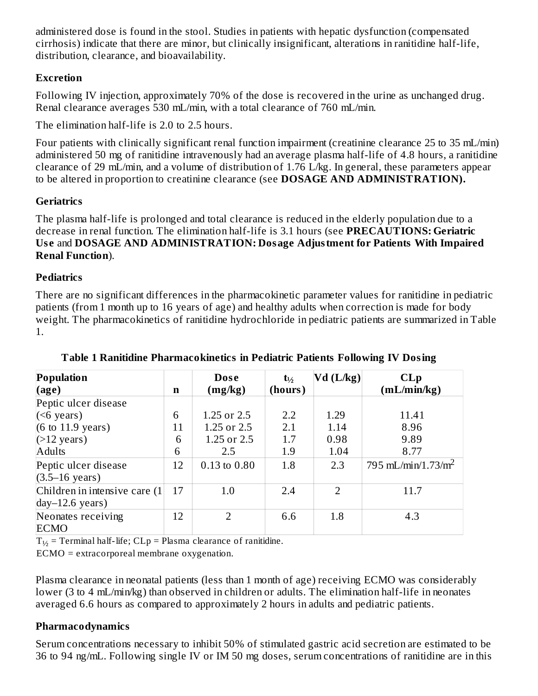administered dose is found in the stool. Studies in patients with hepatic dysfunction (compensated cirrhosis) indicate that there are minor, but clinically insignificant, alterations in ranitidine half-life, distribution, clearance, and bioavailability.

# **Excretion**

Following IV injection, approximately 70% of the dose is recovered in the urine as unchanged drug. Renal clearance averages 530 mL/min, with a total clearance of 760 mL/min.

The elimination half-life is 2.0 to 2.5 hours.

Four patients with clinically significant renal function impairment (creatinine clearance 25 to 35 mL/min) administered 50 mg of ranitidine intravenously had an average plasma half-life of 4.8 hours, a ranitidine clearance of 29 mL/min, and a volume of distribution of 1.76 L/kg. In general, these parameters appear to be altered in proportion to creatinine clearance (see **DOSAGE AND ADMINISTRATION).**

# **Geriatrics**

The plasma half-life is prolonged and total clearance is reduced in the elderly population due to a decrease in renal function. The elimination half-life is 3.1 hours (see **PRECAUTIONS: Geriatric Us e** and **DOSAGE AND ADMINISTRATION: Dosage Adjustment for Patients With Impaired Renal Function**).

# **Pediatrics**

There are no significant differences in the pharmacokinetic parameter values for ranitidine in pediatric patients (from 1 month up to 16 years of age) and healthy adults when correction is made for body weight. The pharmacokinetics of ranitidine hydrochloride in pediatric patients are summarized in Table 1.

| Population                           |    | <b>Dose</b>    | $t_{\frac{1}{2}}$ | $Vd$ (L/kg) | CLp                            |
|--------------------------------------|----|----------------|-------------------|-------------|--------------------------------|
| $\left($ age $\right)$               | n  | (mg/kg)        | (hours)           |             | mL/min/kg                      |
| Peptic ulcer disease                 |    |                |                   |             |                                |
| ( <sub>6</sub> years)                | 6  | 1.25 or 2.5    | 2.2               | 1.29        | 11.41                          |
| $(6 \text{ to } 11.9 \text{ years})$ | 11 | 1.25 or 2.5    | 2.1               | 1.14        | 8.96                           |
| $($ >12 years)                       | 6  | 1.25 or 2.5    | 1.7               | 0.98        | 9.89                           |
| <b>Adults</b>                        | 6  | 2.5            | 1.9               | 1.04        | 8.77                           |
| Peptic ulcer disease                 | 12 | 0.13 to 0.80   | 1.8               | 2.3         | 795 mL/min/1.73/m <sup>2</sup> |
| $(3.5 - 16 \text{ years})$           |    |                |                   |             |                                |
| Children in intensive care (1)       | 17 | 1.0            | 2.4               | 2           | 11.7                           |
| $day-12.6 \text{ years}$             |    |                |                   |             |                                |
| Neonates receiving                   | 12 | $\overline{2}$ | 6.6               | 1.8         | 4.3                            |
| <b>ECMO</b>                          |    |                |                   |             |                                |

**Table 1 Ranitidine Pharmacokinetics in Pediatric Patients Following IV Dosing**

 $T_{1/2}$  = Terminal half-life; CLp = Plasma clearance of ranitidine.

ECMO = extracorporeal membrane oxygenation.

Plasma clearance in neonatal patients (less than 1 month of age) receiving ECMO was considerably lower (3 to 4 mL/min/kg) than observed in children or adults. The elimination half-life in neonates averaged 6.6 hours as compared to approximately 2 hours in adults and pediatric patients.

# **Pharmacodynamics**

Serum concentrations necessary to inhibit 50% of stimulated gastric acid secretion are estimated to be 36 to 94 ng/mL. Following single IV or IM 50 mg doses, serum concentrations of ranitidine are in this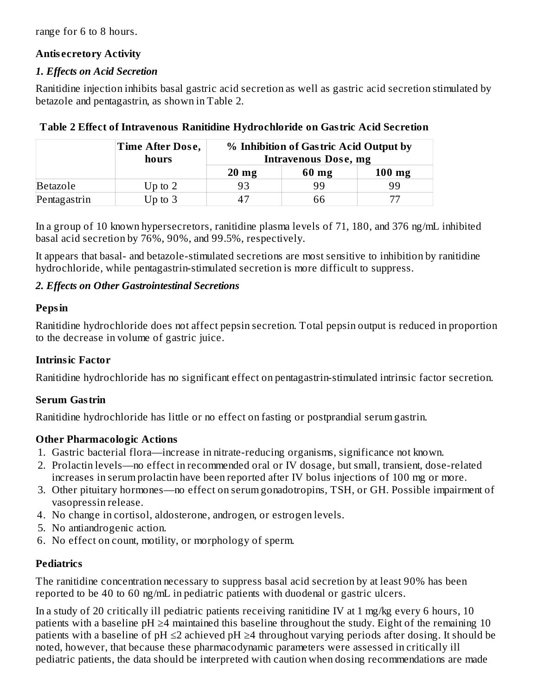range for 6 to 8 hours.

#### **Antis ecretory Activity**

#### *1. Effects on Acid Secretion*

Ranitidine injection inhibits basal gastric acid secretion as well as gastric acid secretion stimulated by betazole and pentagastrin, as shown in Table 2.

|              | Time After Dose,<br>hours | % Inhibition of Gastric Acid Output by<br><b>Intravenous Dose, mg</b> |       |          |  |  |
|--------------|---------------------------|-----------------------------------------------------------------------|-------|----------|--|--|
|              |                           | $20 \text{ mg}$                                                       | 60 mg | $100$ mg |  |  |
| Betazole     | Up to $2$                 |                                                                       | 99    | 99       |  |  |
| Pentagastrin | Up to $3$                 |                                                                       | 66    |          |  |  |

In a group of 10 known hypersecretors, ranitidine plasma levels of 71, 180, and 376 ng/mL inhibited basal acid secretion by 76%, 90%, and 99.5%, respectively.

It appears that basal- and betazole-stimulated secretions are most sensitive to inhibition by ranitidine hydrochloride, while pentagastrin-stimulated secretion is more difficult to suppress.

# *2. Effects on Other Gastrointestinal Secretions*

# **Pepsin**

Ranitidine hydrochloride does not affect pepsin secretion. Total pepsin output is reduced in proportion to the decrease in volume of gastric juice.

#### **Intrinsic Factor**

Ranitidine hydrochloride has no significant effect on pentagastrin-stimulated intrinsic factor secretion.

# **Serum Gastrin**

Ranitidine hydrochloride has little or no effect on fasting or postprandial serum gastrin.

# **Other Pharmacologic Actions**

- 1. Gastric bacterial flora―increase in nitrate-reducing organisms, significance not known.
- 2. Prolactin levels―no effect in recommended oral or IV dosage, but small, transient, dose-related increases in serum prolactin have been reported after IV bolus injections of 100 mg or more.
- 3. Other pituitary hormones―no effect on serum gonadotropins, TSH, or GH. Possible impairment of vasopressin release.
- 4. No change in cortisol, aldosterone, androgen, or estrogen levels.
- 5. No antiandrogenic action.
- 6. No effect on count, motility, or morphology of sperm.

# **Pediatrics**

The ranitidine concentration necessary to suppress basal acid secretion by at least 90% has been reported to be 40 to 60 ng/mL in pediatric patients with duodenal or gastric ulcers.

In a study of 20 critically ill pediatric patients receiving ranitidine IV at 1 mg/kg every 6 hours, 10 patients with a baseline pH  $\geq$ 4 maintained this baseline throughout the study. Eight of the remaining 10 patients with a baseline of  $pH \leq 2$  achieved  $pH \geq 4$  throughout varying periods after dosing. It should be noted, however, that because these pharmacodynamic parameters were assessed in critically ill pediatric patients, the data should be interpreted with caution when dosing recommendations are made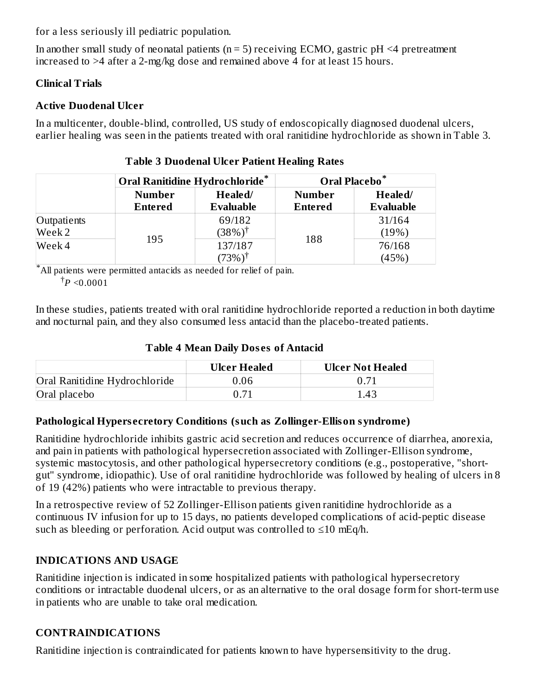for a less seriously ill pediatric population.

In another small study of neonatal patients ( $n = 5$ ) receiving ECMO, gastric  $pH \leq 4$  pretreatment increased to >4 after a 2-mg/kg dose and remained above 4 for at least 15 hours.

#### **Clinical Trials**

# **Active Duodenal Ulcer**

In a multicenter, double-blind, controlled, US study of endoscopically diagnosed duodenal ulcers, earlier healing was seen in the patients treated with oral ranitidine hydrochloride as shown in Table 3.

|             | <b>Oral Ranitidine Hydrochloride*</b> |                             | Oral Placebo <sup>*</sup>       |                             |  |
|-------------|---------------------------------------|-----------------------------|---------------------------------|-----------------------------|--|
|             | <b>Number</b><br><b>Entered</b>       | Healed/<br><b>Evaluable</b> | <b>Number</b><br><b>Entered</b> | Healed/<br><b>Evaluable</b> |  |
| Outpatients |                                       | 69/182                      |                                 | 31/164                      |  |
| Week 2      | 195                                   | $(38%)^{\dagger}$           | 188                             | (19%)                       |  |
| Week 4      |                                       | 137/187                     |                                 | 76/168                      |  |
|             |                                       | $(73%)^{\dagger}$           |                                 | (45%)                       |  |

# **Table 3 Duodenal Ulcer Patient Healing Rates**

All patients were permitted antacids as needed for relief of pain. \*  $^\dagger P < 0.0001$ 

In these studies, patients treated with oral ranitidine hydrochloride reported a reduction in both daytime and nocturnal pain, and they also consumed less antacid than the placebo-treated patients.

#### **Table 4 Mean Daily Dos es of Antacid**

|                               | <b>Ulcer Healed</b> | <b>Ulcer Not Healed</b> |
|-------------------------------|---------------------|-------------------------|
| Oral Ranitidine Hydrochloride | 0.06                |                         |
| Oral placebo                  |                     | 1.43                    |

#### **Pathological Hypers ecretory Conditions (such as Zollinger-Ellison syndrome)**

Ranitidine hydrochloride inhibits gastric acid secretion and reduces occurrence of diarrhea, anorexia, and pain in patients with pathological hypersecretion associated with Zollinger-Ellison syndrome, systemic mastocytosis, and other pathological hypersecretory conditions (e.g., postoperative, "shortgut" syndrome, idiopathic). Use of oral ranitidine hydrochloride was followed by healing of ulcers in 8 of 19 (42%) patients who were intractable to previous therapy.

In a retrospective review of 52 Zollinger-Ellison patients given ranitidine hydrochloride as a continuous IV infusion for up to 15 days, no patients developed complications of acid-peptic disease such as bleeding or perforation. Acid output was controlled to  $\leq 10$  mEq/h.

# **INDICATIONS AND USAGE**

Ranitidine injection is indicated in some hospitalized patients with pathological hypersecretory conditions or intractable duodenal ulcers, or as an alternative to the oral dosage form for short-term use in patients who are unable to take oral medication.

#### **CONTRAINDICATIONS**

Ranitidine injection is contraindicated for patients known to have hypersensitivity to the drug.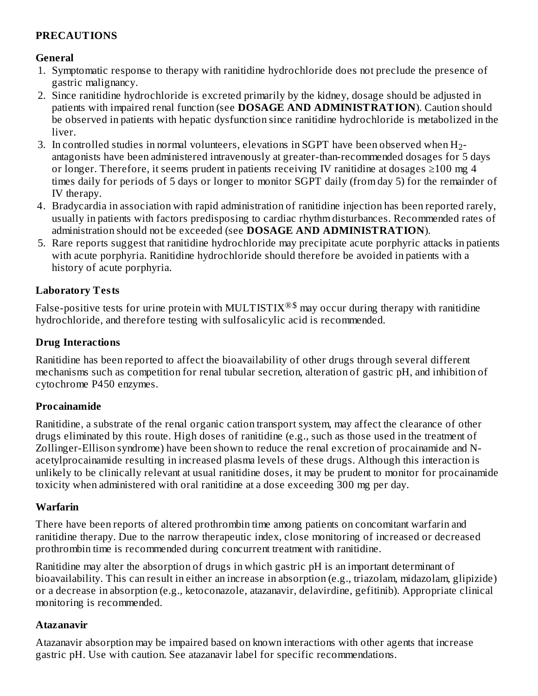# **PRECAUTIONS**

# **General**

- 1. Symptomatic response to therapy with ranitidine hydrochloride does not preclude the presence of gastric malignancy.
- 2. Since ranitidine hydrochloride is excreted primarily by the kidney, dosage should be adjusted in patients with impaired renal function (see **DOSAGE AND ADMINISTRATION**). Caution should be observed in patients with hepatic dysfunction since ranitidine hydrochloride is metabolized in the liver.
- 3. In controlled studies in normal volunteers, elevations in SGPT have been observed when  $\rm H_2$ antagonists have been administered intravenously at greater-than-recommended dosages for 5 days or longer. Therefore, it seems prudent in patients receiving IV ranitidine at dosages  $\geq 100$  mg 4 times daily for periods of 5 days or longer to monitor SGPT daily (from day 5) for the remainder of IV therapy.
- 4. Bradycardia in association with rapid administration of ranitidine injection has been reported rarely, usually in patients with factors predisposing to cardiac rhythm disturbances. Recommended rates of administration should not be exceeded (see **DOSAGE AND ADMINISTRATION**).
- 5. Rare reports suggest that ranitidine hydrochloride may precipitate acute porphyric attacks in patients with acute porphyria. Ranitidine hydrochloride should therefore be avoided in patients with a history of acute porphyria.

# **Laboratory Tests**

False-positive tests for urine protein with MULTISTIX $^{\circledR\$}$  may occur during therapy with ranitidine hydrochloride, and therefore testing with sulfosalicylic acid is recommended.

# **Drug Interactions**

Ranitidine has been reported to affect the bioavailability of other drugs through several different mechanisms such as competition for renal tubular secretion, alteration of gastric pH, and inhibition of cytochrome P450 enzymes.

#### **Procainamide**

Ranitidine, a substrate of the renal organic cation transport system, may affect the clearance of other drugs eliminated by this route. High doses of ranitidine (e.g., such as those used in the treatment of Zollinger-Ellison syndrome) have been shown to reduce the renal excretion of procainamide and Nacetylprocainamide resulting in increased plasma levels of these drugs. Although this interaction is unlikely to be clinically relevant at usual ranitidine doses, it may be prudent to monitor for procainamide toxicity when administered with oral ranitidine at a dose exceeding 300 mg per day.

# **Warfarin**

There have been reports of altered prothrombin time among patients on concomitant warfarin and ranitidine therapy. Due to the narrow therapeutic index, close monitoring of increased or decreased prothrombin time is recommended during concurrent treatment with ranitidine.

Ranitidine may alter the absorption of drugs in which gastric pH is an important determinant of bioavailability. This can result in either an increase in absorption (e.g., triazolam, midazolam, glipizide) or a decrease in absorption (e.g., ketoconazole, atazanavir, delavirdine, gefitinib). Appropriate clinical monitoring is recommended.

# **Atazanavir**

Atazanavir absorption may be impaired based on known interactions with other agents that increase gastric pH. Use with caution. See atazanavir label for specific recommendations.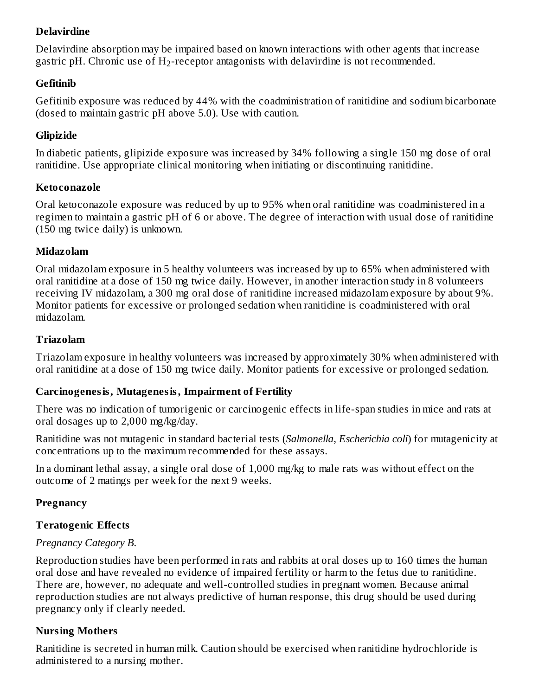# **Delavirdine**

Delavirdine absorption may be impaired based on known interactions with other agents that increase gastric pH. Chronic use of  $\rm H_2$ -receptor antagonists with delavirdine is not recommended.

#### **Gefitinib**

Gefitinib exposure was reduced by 44% with the coadministration of ranitidine and sodium bicarbonate (dosed to maintain gastric pH above 5.0). Use with caution.

#### **Glipizide**

In diabetic patients, glipizide exposure was increased by 34% following a single 150 mg dose of oral ranitidine. Use appropriate clinical monitoring when initiating or discontinuing ranitidine.

#### **Ketoconazole**

Oral ketoconazole exposure was reduced by up to 95% when oral ranitidine was coadministered in a regimen to maintain a gastric pH of 6 or above. The degree of interaction with usual dose of ranitidine (150 mg twice daily) is unknown.

#### **Midazolam**

Oral midazolam exposure in 5 healthy volunteers was increased by up to 65% when administered with oral ranitidine at a dose of 150 mg twice daily. However, in another interaction study in 8 volunteers receiving IV midazolam, a 300 mg oral dose of ranitidine increased midazolam exposure by about 9%. Monitor patients for excessive or prolonged sedation when ranitidine is coadministered with oral midazolam.

#### **Triazolam**

Triazolam exposure in healthy volunteers was increased by approximately 30% when administered with oral ranitidine at a dose of 150 mg twice daily. Monitor patients for excessive or prolonged sedation.

#### **Carcinogenesis, Mutagenesis, Impairment of Fertility**

There was no indication of tumorigenic or carcinogenic effects in life-span studies in mice and rats at oral dosages up to 2,000 mg/kg/day.

Ranitidine was not mutagenic in standard bacterial tests (*Salmonella*, *Escherichia coli*) for mutagenicity at concentrations up to the maximum recommended for these assays.

In a dominant lethal assay, a single oral dose of 1,000 mg/kg to male rats was without effect on the outcome of 2 matings per week for the next 9 weeks.

#### **Pregnancy**

#### **Teratogenic Effects**

#### *Pregnancy Category B.*

Reproduction studies have been performed in rats and rabbits at oral doses up to 160 times the human oral dose and have revealed no evidence of impaired fertility or harm to the fetus due to ranitidine. There are, however, no adequate and well-controlled studies in pregnant women. Because animal reproduction studies are not always predictive of human response, this drug should be used during pregnancy only if clearly needed.

#### **Nursing Mothers**

Ranitidine is secreted in human milk. Caution should be exercised when ranitidine hydrochloride is administered to a nursing mother.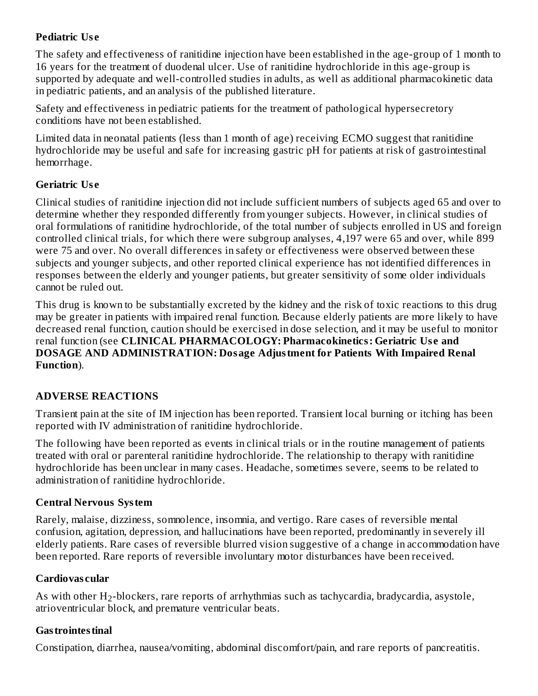# **Pediatric Us e**

The safety and effectiveness of ranitidine injection have been established in the age-group of 1 month to 16 years for the treatment of duodenal ulcer. Use of ranitidine hydrochloride in this age-group is supported by adequate and well-controlled studies in adults, as well as additional pharmacokinetic data in pediatric patients, and an analysis of the published literature.

Safety and effectiveness in pediatric patients for the treatment of pathological hypersecretory conditions have not been established.

Limited data in neonatal patients (less than 1 month of age) receiving ECMO suggest that ranitidine hydrochloride may be useful and safe for increasing gastric pH for patients at risk of gastrointestinal hemorrhage.

# **Geriatric Us e**

Clinical studies of ranitidine injection did not include sufficient numbers of subjects aged 65 and over to determine whether they responded differently from younger subjects. However, in clinical studies of oral formulations of ranitidine hydrochloride, of the total number of subjects enrolled in US and foreign controlled clinical trials, for which there were subgroup analyses, 4,197 were 65 and over, while 899 were 75 and over. No overall differences in safety or effectiveness were observed between these subjects and younger subjects, and other reported clinical experience has not identified differences in responses between the elderly and younger patients, but greater sensitivity of some older individuals cannot be ruled out.

This drug is known to be substantially excreted by the kidney and the risk of toxic reactions to this drug may be greater in patients with impaired renal function. Because elderly patients are more likely to have decreased renal function, caution should be exercised in dose selection, and it may be useful to monitor renal function (see **CLINICAL PHARMACOLOGY: Pharmacokinetics: Geriatric Us e and DOSAGE AND ADMINISTRATION: Dosage Adjustment for Patients With Impaired Renal Function**).

# **ADVERSE REACTIONS**

Transient pain at the site of IM injection has been reported. Transient local burning or itching has been reported with IV administration of ranitidine hydrochloride.

The following have been reported as events in clinical trials or in the routine management of patients treated with oral or parenteral ranitidine hydrochloride. The relationship to therapy with ranitidine hydrochloride has been unclear in many cases. Headache, sometimes severe, seems to be related to administration of ranitidine hydrochloride.

# **Central Nervous System**

Rarely, malaise, dizziness, somnolence, insomnia, and vertigo. Rare cases of reversible mental confusion, agitation, depression, and hallucinations have been reported, predominantly in severely ill elderly patients. Rare cases of reversible blurred vision suggestive of a change in accommodation have been reported. Rare reports of reversible involuntary motor disturbances have been received.

# **Cardiovas cular**

As with other  $H_2$ -blockers, rare reports of arrhythmias such as tachycardia, bradycardia, asystole, atrioventricular block, and premature ventricular beats.

# **Gastrointestinal**

Constipation, diarrhea, nausea/vomiting, abdominal discomfort/pain, and rare reports of pancreatitis.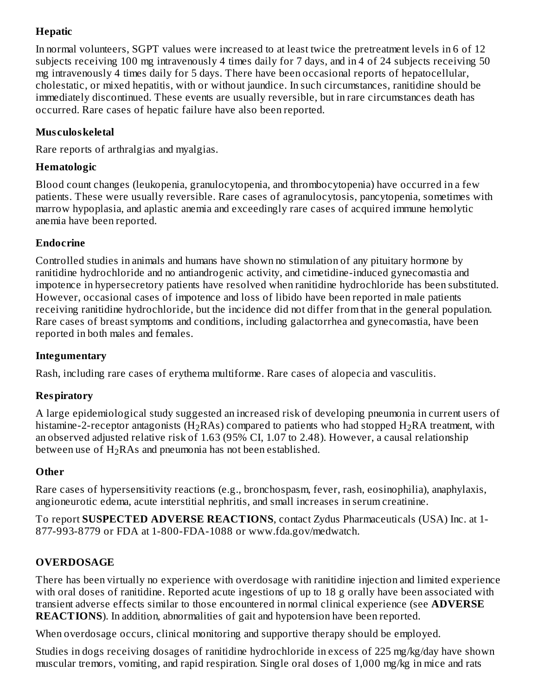# **Hepatic**

In normal volunteers, SGPT values were increased to at least twice the pretreatment levels in 6 of 12 subjects receiving 100 mg intravenously 4 times daily for 7 days, and in 4 of 24 subjects receiving 50 mg intravenously 4 times daily for 5 days. There have been occasional reports of hepatocellular, cholestatic, or mixed hepatitis, with or without jaundice. In such circumstances, ranitidine should be immediately discontinued. These events are usually reversible, but in rare circumstances death has occurred. Rare cases of hepatic failure have also been reported.

# **Mus culoskeletal**

Rare reports of arthralgias and myalgias.

# **Hematologic**

Blood count changes (leukopenia, granulocytopenia, and thrombocytopenia) have occurred in a few patients. These were usually reversible. Rare cases of agranulocytosis, pancytopenia, sometimes with marrow hypoplasia, and aplastic anemia and exceedingly rare cases of acquired immune hemolytic anemia have been reported.

# **Endocrine**

Controlled studies in animals and humans have shown no stimulation of any pituitary hormone by ranitidine hydrochloride and no antiandrogenic activity, and cimetidine-induced gynecomastia and impotence in hypersecretory patients have resolved when ranitidine hydrochloride has been substituted. However, occasional cases of impotence and loss of libido have been reported in male patients receiving ranitidine hydrochloride, but the incidence did not differ from that in the general population. Rare cases of breast symptoms and conditions, including galactorrhea and gynecomastia, have been reported in both males and females.

# **Integumentary**

Rash, including rare cases of erythema multiforme. Rare cases of alopecia and vasculitis.

# **Respiratory**

A large epidemiological study suggested an increased risk of developing pneumonia in current users of histamine-2-receptor antagonists (H<sub>2</sub>RAs) compared to patients who had stopped H<sub>2</sub>RA treatment, with an observed adjusted relative risk of 1.63 (95% CI, 1.07 to 2.48). However, a causal relationship between use of  $\rm H_2RAs$  and pneumonia has not been established.

# **Other**

Rare cases of hypersensitivity reactions (e.g., bronchospasm, fever, rash, eosinophilia), anaphylaxis, angioneurotic edema, acute interstitial nephritis, and small increases in serum creatinine.

To report **SUSPECTED ADVERSE REACTIONS**, contact Zydus Pharmaceuticals (USA) Inc. at 1- 877-993-8779 or FDA at 1-800-FDA-1088 or www.fda.gov/medwatch.

# **OVERDOSAGE**

There has been virtually no experience with overdosage with ranitidine injection and limited experience with oral doses of ranitidine. Reported acute ingestions of up to 18 g orally have been associated with transient adverse effects similar to those encountered in normal clinical experience (see **ADVERSE REACTIONS**). In addition, abnormalities of gait and hypotension have been reported.

When overdosage occurs, clinical monitoring and supportive therapy should be employed.

Studies in dogs receiving dosages of ranitidine hydrochloride in excess of 225 mg/kg/day have shown muscular tremors, vomiting, and rapid respiration. Single oral doses of 1,000 mg/kg in mice and rats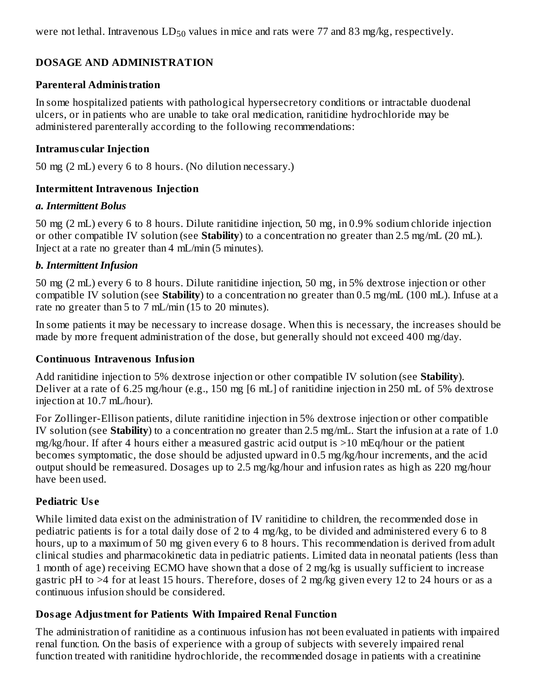were not lethal. Intravenous  $LD_{50}$  values in mice and rats were 77 and 83 mg/kg, respectively.

# **DOSAGE AND ADMINISTRATION**

#### **Parenteral Administration**

In some hospitalized patients with pathological hypersecretory conditions or intractable duodenal ulcers, or in patients who are unable to take oral medication, ranitidine hydrochloride may be administered parenterally according to the following recommendations:

#### **Intramus cular Injection**

50 mg (2 mL) every 6 to 8 hours. (No dilution necessary.)

#### **Intermittent Intravenous Injection**

#### *a. Intermittent Bolus*

50 mg (2 mL) every 6 to 8 hours. Dilute ranitidine injection, 50 mg, in 0.9% sodium chloride injection or other compatible IV solution (see **Stability**) to a concentration no greater than 2.5 mg/mL (20 mL). Inject at a rate no greater than 4 mL/min (5 minutes).

#### *b. Intermittent Infusion*

50 mg (2 mL) every 6 to 8 hours. Dilute ranitidine injection, 50 mg, in 5% dextrose injection or other compatible IV solution (see **Stability**) to a concentration no greater than 0.5 mg/mL (100 mL). Infuse at a rate no greater than 5 to 7 mL/min (15 to 20 minutes).

In some patients it may be necessary to increase dosage. When this is necessary, the increases should be made by more frequent administration of the dose, but generally should not exceed 400 mg/day.

#### **Continuous Intravenous Infusion**

Add ranitidine injection to 5% dextrose injection or other compatible IV solution (see **Stability**). Deliver at a rate of 6.25 mg/hour (e.g., 150 mg [6 mL] of ranitidine injection in 250 mL of 5% dextrose injection at 10.7 mL/hour).

For Zollinger-Ellison patients, dilute ranitidine injection in 5% dextrose injection or other compatible IV solution (see **Stability**) to a concentration no greater than 2.5 mg/mL. Start the infusion at a rate of 1.0 mg/kg/hour. If after 4 hours either a measured gastric acid output is >10 mEq/hour or the patient becomes symptomatic, the dose should be adjusted upward in 0.5 mg/kg/hour increments, and the acid output should be remeasured. Dosages up to 2.5 mg/kg/hour and infusion rates as high as 220 mg/hour have been used.

#### **Pediatric Us e**

While limited data exist on the administration of IV ranitidine to children, the recommended dose in pediatric patients is for a total daily dose of 2 to 4 mg/kg, to be divided and administered every 6 to 8 hours, up to a maximum of 50 mg given every 6 to 8 hours. This recommendation is derived from adult clinical studies and pharmacokinetic data in pediatric patients. Limited data in neonatal patients (less than 1 month of age) receiving ECMO have shown that a dose of 2 mg/kg is usually sufficient to increase gastric pH to >4 for at least 15 hours. Therefore, doses of 2 mg/kg given every 12 to 24 hours or as a continuous infusion should be considered.

#### **Dosage Adjustment for Patients With Impaired Renal Function**

The administration of ranitidine as a continuous infusion has not been evaluated in patients with impaired renal function. On the basis of experience with a group of subjects with severely impaired renal function treated with ranitidine hydrochloride, the recommended dosage in patients with a creatinine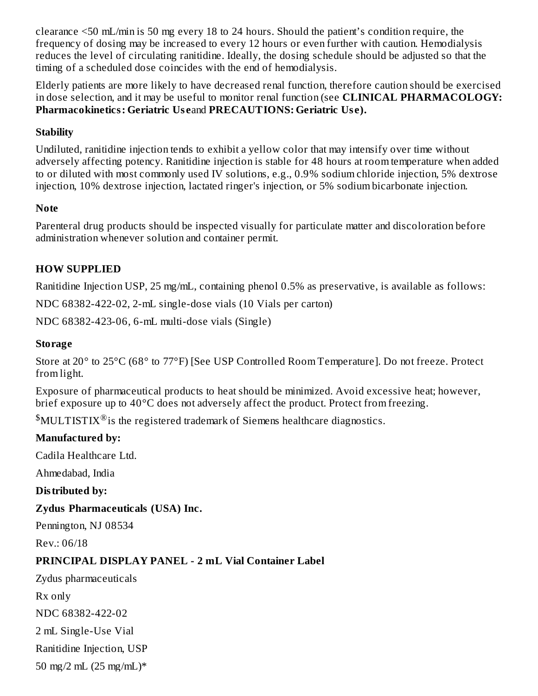clearance <50 mL/min is 50 mg every 18 to 24 hours. Should the patient's condition require, the frequency of dosing may be increased to every 12 hours or even further with caution. Hemodialysis reduces the level of circulating ranitidine. Ideally, the dosing schedule should be adjusted so that the timing of a scheduled dose coincides with the end of hemodialysis.

Elderly patients are more likely to have decreased renal function, therefore caution should be exercised in dose selection, and it may be useful to monitor renal function (see **CLINICAL PHARMACOLOGY: Pharmacokinetics: Geriatric Us e**and **PRECAUTIONS: Geriatric Us e).**

### **Stability**

Undiluted, ranitidine injection tends to exhibit a yellow color that may intensify over time without adversely affecting potency. Ranitidine injection is stable for 48 hours at room temperature when added to or diluted with most commonly used IV solutions, e.g., 0.9% sodium chloride injection, 5% dextrose injection, 10% dextrose injection, lactated ringer's injection, or 5% sodium bicarbonate injection.

#### **Note**

Parenteral drug products should be inspected visually for particulate matter and discoloration before administration whenever solution and container permit.

# **HOW SUPPLIED**

Ranitidine Injection USP, 25 mg/mL, containing phenol 0.5% as preservative, is available as follows:

NDC 68382-422-02, 2-mL single-dose vials (10 Vials per carton)

NDC 68382-423-06, 6-mL multi-dose vials (Single)

#### **Storage**

Store at 20° to 25°C (68° to 77°F) [See USP Controlled Room Temperature]. Do not freeze. Protect from light.

Exposure of pharmaceutical products to heat should be minimized. Avoid excessive heat; however, brief exposure up to 40°C does not adversely affect the product. Protect from freezing.

 $MULTISTIX^{\circledR}$  is the registered trademark of Siemens healthcare diagnostics.

#### **Manufactured by:**

Cadila Healthcare Ltd.

Ahmedabad, India

**Distributed by:**

#### **Zydus Pharmaceuticals (USA) Inc.**

Pennington, NJ 08534

Rev.: 06/18

# **PRINCIPAL DISPLAY PANEL - 2 mL Vial Container Label**

Zydus pharmaceuticals

Rx only

NDC 68382-422-02

2 mL Single-Use Vial

Ranitidine Injection, USP

50 mg/2 mL  $(25 \text{ mg/mL})^*$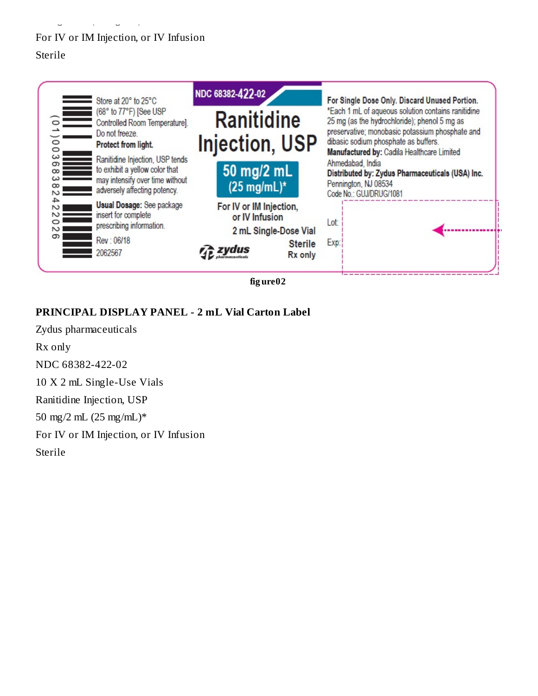# For IV or IM Injection, or IV Infusion Sterile

 $50$  map  $\frac{1}{2}$  map  $\frac{1}{2}$  map  $\frac{1}{2}$  map  $\frac{1}{2}$  map  $\frac{1}{2}$ 



**fig ure02**

# **PRINCIPAL DISPLAY PANEL - 2 mL Vial Carton Label**

Zydus pharmaceuticals Rx only NDC 68382-422-02 10 X 2 mL Single-Use Vials Ranitidine Injection, USP 50 mg/2 mL (25 mg/mL)\* For IV or IM Injection, or IV Infusion Sterile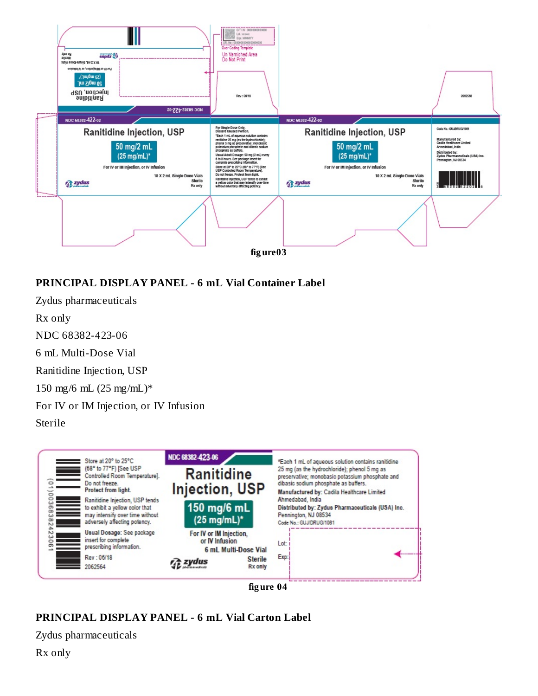

# **PRINCIPAL DISPLAY PANEL - 6 mL Vial Container Label**

Zydus pharmaceuticals Rx only NDC 68382-423-06 6 mL Multi-Dose Vial Ranitidine Injection, USP 150 mg/6 mL (25 mg/mL)\* For IV or IM Injection, or IV Infusion Sterile



**fig ure 04**

# **PRINCIPAL DISPLAY PANEL - 6 mL Vial Carton Label**

Zydus pharmaceuticals

Rx only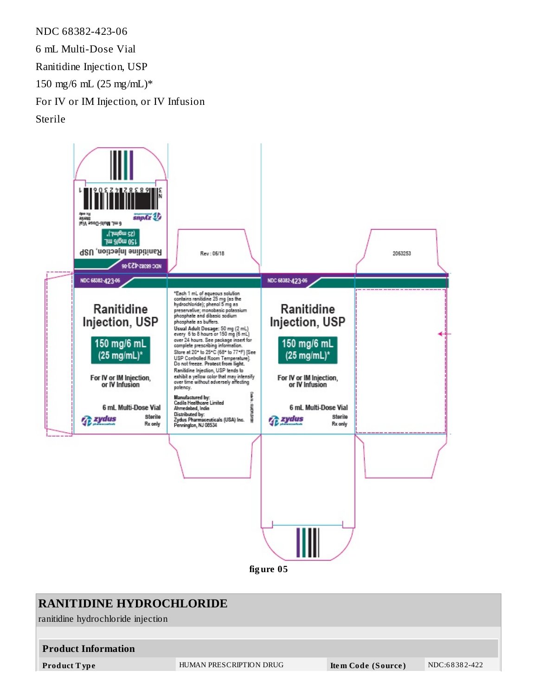NDC 68382-423-06 6 mL Multi-Dose Vial Ranitidine Injection, USP 150 mg/6 mL (25 mg/mL)\* For IV or IM Injection, or IV Infusion Sterile



**fig ure 05**

# **RANITIDINE HYDROCHLORIDE** ranitidine hydrochloride injection **Product Information Product T ype** HUMAN PRESCRIPTION DRUG **Ite m Code (Source )** NDC:6 8 38 2-422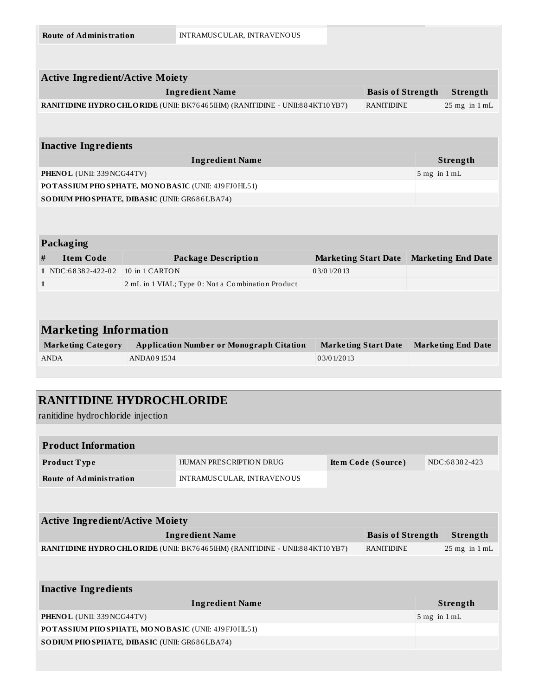|              | <b>Active Ingredient/Active Moiety</b>            |                                                                              |                             |                          |                  |                           |
|--------------|---------------------------------------------------|------------------------------------------------------------------------------|-----------------------------|--------------------------|------------------|---------------------------|
|              |                                                   | <b>Ingredient Name</b>                                                       |                             | <b>Basis of Strength</b> |                  | Strength                  |
|              |                                                   | RANITIDINE HYDRO CHLO RIDE (UNII: BK76465IHM) (RANITIDINE - UNII:884KT10YB7) |                             | <b>RANITIDINE</b>        |                  | $25$ mg in $1$ mL         |
|              |                                                   |                                                                              |                             |                          |                  |                           |
|              |                                                   |                                                                              |                             |                          |                  |                           |
|              | <b>Inactive Ingredients</b>                       |                                                                              |                             |                          |                  |                           |
|              |                                                   | <b>Ingredient Name</b>                                                       |                             |                          |                  | Strength                  |
|              | PHENOL (UNII: 339 NCG44TV)                        |                                                                              |                             |                          | $5$ mg in $1$ mL |                           |
|              | POTASSIUM PHOSPHATE, MONOBASIC (UNII: 4J9FJ0HL51) |                                                                              |                             |                          |                  |                           |
|              |                                                   |                                                                              |                             |                          |                  |                           |
|              |                                                   | SO DIUM PHO SPHATE, DIBASIC (UNII: GR686LBA74)                               |                             |                          |                  |                           |
|              |                                                   |                                                                              |                             |                          |                  |                           |
|              |                                                   |                                                                              |                             |                          |                  |                           |
|              | Packaging                                         |                                                                              |                             |                          |                  |                           |
| #            | <b>Item Code</b>                                  | <b>Package Description</b>                                                   | <b>Marketing Start Date</b> |                          |                  | <b>Marketing End Date</b> |
|              | 1 NDC:68382-422-02                                | 10 in 1 CARTON                                                               | 03/01/2013                  |                          |                  |                           |
| $\mathbf{1}$ |                                                   | 2 mL in 1 VIAL; Type 0: Not a Combination Product                            |                             |                          |                  |                           |
|              |                                                   |                                                                              |                             |                          |                  |                           |
|              |                                                   |                                                                              |                             |                          |                  |                           |
|              | <b>Marketing Information</b>                      |                                                                              |                             |                          |                  |                           |
|              | <b>Marketing Category</b>                         | <b>Application Number or Monograph Citation</b>                              | <b>Marketing Start Date</b> |                          |                  | <b>Marketing End Date</b> |
|              | <b>ANDA</b>                                       | ANDA091534                                                                   | 0.3/0.1/20.13               |                          |                  |                           |

# **RANITIDINE HYDROCHLORIDE**

ranitidine hydrochloride injection

| <b>Product Information</b>                                                                       |                         |  |                    |  |                   |
|--------------------------------------------------------------------------------------------------|-------------------------|--|--------------------|--|-------------------|
| <b>Product Type</b>                                                                              | HUMAN PRESCRIPTION DRUG |  | Item Code (Source) |  | NDC:68382-423     |
| <b>Route of Administration</b><br>INTRAMUSCULAR, INTRAVENOUS                                     |                         |  |                    |  |                   |
|                                                                                                  |                         |  |                    |  |                   |
|                                                                                                  |                         |  |                    |  |                   |
| <b>Active Ingredient/Active Moiety</b>                                                           |                         |  |                    |  |                   |
| <b>Basis of Strength</b><br><b>Ingredient Name</b><br>Strength                                   |                         |  |                    |  |                   |
| RANITIDINE HYDRO CHLORIDE (UNII: BK76465IHM) (RANITIDINE - UNII:884KT10YB7)<br><b>RANITIDINE</b> |                         |  |                    |  | $25$ mg in $1$ mL |
|                                                                                                  |                         |  |                    |  |                   |
|                                                                                                  |                         |  |                    |  |                   |
| <b>Inactive Ingredients</b>                                                                      |                         |  |                    |  |                   |
|                                                                                                  | <b>Ingredient Name</b>  |  |                    |  | <b>Strength</b>   |
| PHENOL (UNII: 339 NCG44TV)                                                                       |                         |  |                    |  | $5$ mg in $1$ mL  |
| POTASSIUM PHOSPHATE, MONOBASIC (UNII: 4J9FJ0HL51)                                                |                         |  |                    |  |                   |
| SO DIUM PHO SPHATE, DIBASIC (UNII: GR686LBA74)                                                   |                         |  |                    |  |                   |
|                                                                                                  |                         |  |                    |  |                   |
|                                                                                                  |                         |  |                    |  |                   |